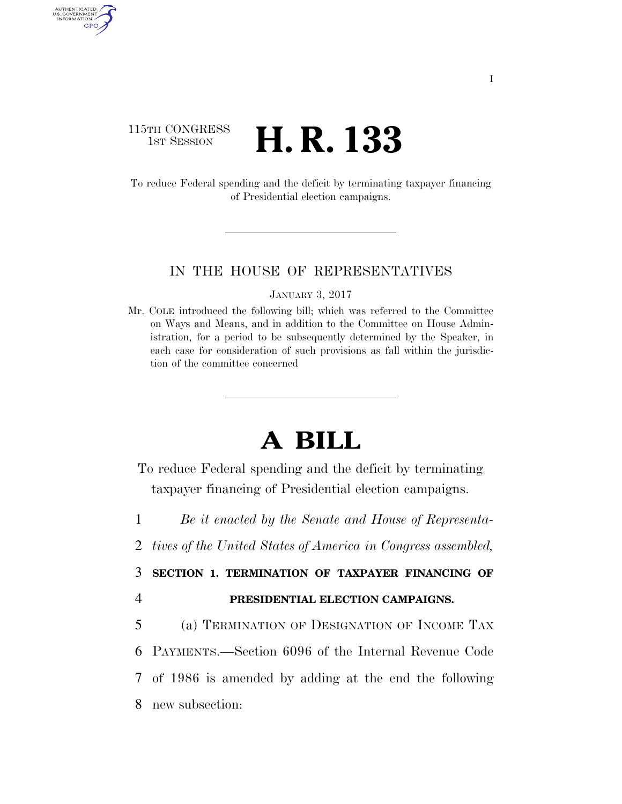## 115TH CONGRESS <sup>TH CONGRESS</sup> **H. R. 133**

AUTHENTICATED U.S. GOVERNMENT GPO

> To reduce Federal spending and the deficit by terminating taxpayer financing of Presidential election campaigns.

## IN THE HOUSE OF REPRESENTATIVES

JANUARY 3, 2017

Mr. COLE introduced the following bill; which was referred to the Committee on Ways and Means, and in addition to the Committee on House Administration, for a period to be subsequently determined by the Speaker, in each case for consideration of such provisions as fall within the jurisdiction of the committee concerned

## **A BILL**

To reduce Federal spending and the deficit by terminating taxpayer financing of Presidential election campaigns.

1 *Be it enacted by the Senate and House of Representa-*

2 *tives of the United States of America in Congress assembled,* 

3 **SECTION 1. TERMINATION OF TAXPAYER FINANCING OF** 

4 **PRESIDENTIAL ELECTION CAMPAIGNS.** 

 (a) TERMINATION OF DESIGNATION OF INCOME TAX PAYMENTS.—Section 6096 of the Internal Revenue Code of 1986 is amended by adding at the end the following new subsection: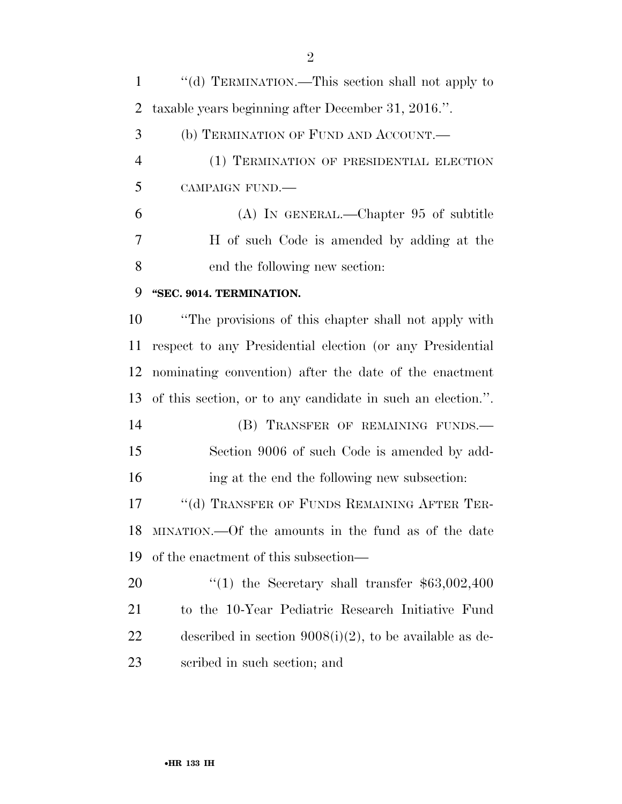''(d) TERMINATION.—This section shall not apply to taxable years beginning after December 31, 2016.''. (b) TERMINATION OF FUND AND ACCOUNT.— (1) TERMINATION OF PRESIDENTIAL ELECTION CAMPAIGN FUND.— (A) IN GENERAL.—Chapter 95 of subtitle H of such Code is amended by adding at the end the following new section: **''SEC. 9014. TERMINATION.**  ''The provisions of this chapter shall not apply with respect to any Presidential election (or any Presidential nominating convention) after the date of the enactment of this section, or to any candidate in such an election.''. 14 (B) TRANSFER OF REMAINING FUNDS. Section 9006 of such Code is amended by add- ing at the end the following new subsection: 17 "(d) TRANSFER OF FUNDS REMAINING AFTER TER- MINATION.—Of the amounts in the fund as of the date of the enactment of this subsection— 20 "(1) the Secretary shall transfer \$63,002,400 to the 10-Year Pediatric Research Initiative Fund 22 described in section  $9008(i)(2)$ , to be available as de-scribed in such section; and